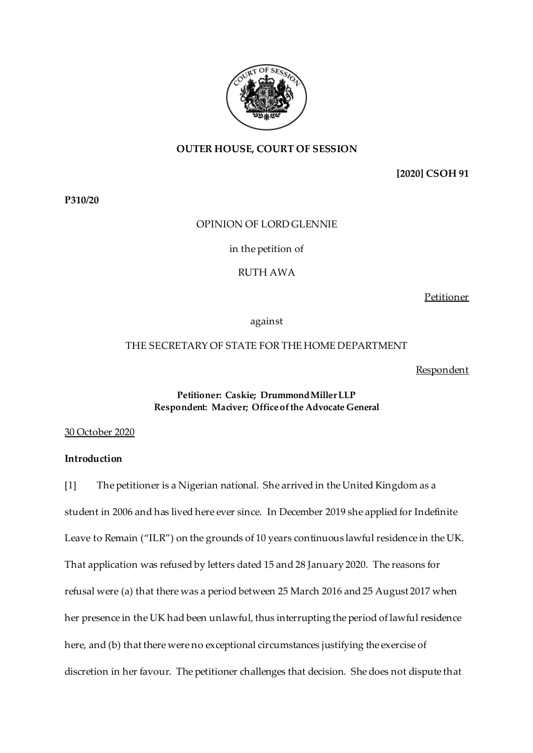

## **OUTER HOUSE, COURT OF SESSION**

**[2020] CSOH 91**

**P310/20**

### OPINION OF LORD GLENNIE

in the petition of

RUTH AWA

Petitioner

against

## THE SECRETARY OF STATE FOR THE HOME DEPARTMENT

Respondent

## **Petitioner: Caskie; Drummond Miller LLP Respondent: Maciver; Officeof the Advocate General**

#### 30 October 2020

## **Introduction**

[1] The petitioner is a Nigerian national. She arrived in the United Kingdom as a student in 2006 and has lived here ever since. In December 2019 she applied for Indefinite Leave to Remain ("ILR") on the grounds of 10 years continuous lawful residence in the UK. That application was refused by letters dated 15 and 28 January 2020. The reasons for refusal were (a) that there was a period between 25 March 2016 and 25 August 2017 when her presence in the UK had been unlawful, thus interrupting the period of lawful residence here, and (b) that there were no exceptional circumstances justifying the exercise of discretion in her favour. The petitioner challenges that decision. She does not dispute that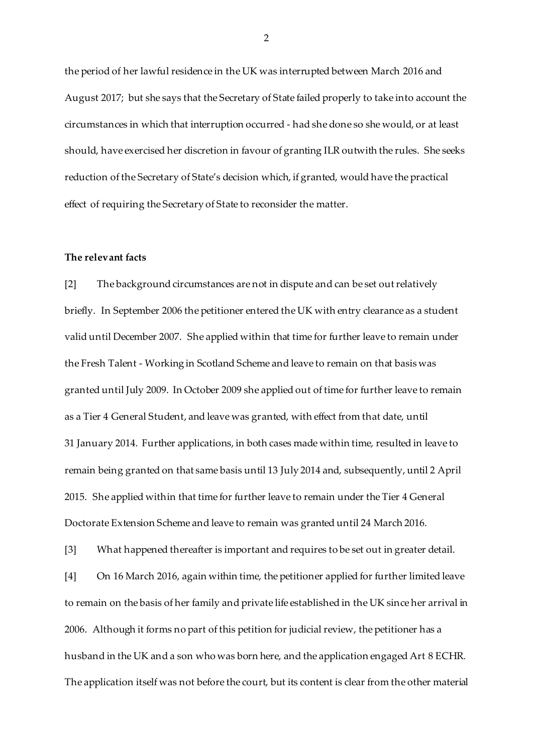the period of her lawful residence in the UK was interrupted between March 2016 and August 2017; but she says that the Secretary of State failed properly to take into account the circumstances in which that interruption occurred - had she done so she would, or at least should, have exercised her discretion in favour of granting ILR outwith the rules. She seeks reduction of the Secretary of State's decision which, if granted, would have the practical effect of requiring the Secretary of State to reconsider the matter.

#### **The relevant facts**

[2] The background circumstances are not in dispute and can be set out relatively briefly. In September 2006 the petitioner entered the UK with entry clearance as a student valid until December 2007. She applied within that time for further leave to remain under the Fresh Talent - Working in Scotland Scheme and leave to remain on that basis was granted until July 2009. In October 2009 she applied out of time for further leave to remain as a Tier 4 General Student, and leave was granted, with effect from that date, until 31 January 2014. Further applications, in both cases made within time, resulted in leave to remain being granted on that same basis until 13 July 2014 and, subsequently, until 2 April 2015. She applied within that time for further leave to remain under the Tier 4 General Doctorate Extension Scheme and leave to remain was granted until 24 March 2016.

[3] What happened thereafter is important and requires to be set out in greater detail. [4] On 16 March 2016, again within time, the petitioner applied for further limited leave to remain on the basis of her family and private life established in the UK since her arrival in 2006. Although it forms no part of this petition for judicial review, the petitioner has a husband in the UK and a son who was born here, and the application engaged Art 8 ECHR. The application itself was not before the court, but its content is clear from the other material

 $\mathcal{D}$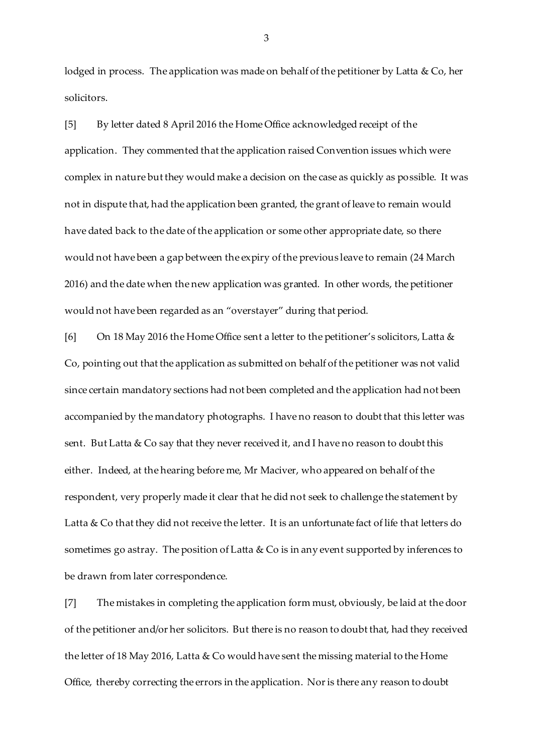lodged in process. The application was made on behalf of the petitioner by Latta & Co, her solicitors.

[5] By letter dated 8 April 2016 the Home Office acknowledged receipt of the application. They commented that the application raised Convention issues which were complex in nature but they would make a decision on the case as quickly as possible. It was not in dispute that, had the application been granted, the grant of leave to remain would have dated back to the date of the application or some other appropriate date, so there would not have been a gap between the expiry of the previous leave to remain (24 March 2016) and the date when the new application was granted. In other words, the petitioner would not have been regarded as an "overstayer" during that period.

[6] On 18 May 2016 the Home Office sent a letter to the petitioner's solicitors, Latta & Co, pointing out that the application as submitted on behalf of the petitioner was not valid since certain mandatory sections had not been completed and the application had not been accompanied by the mandatory photographs. I have no reason to doubt that this letter was sent. But Latta & Co say that they never received it, and I have no reason to doubt this either. Indeed, at the hearing before me, Mr Maciver, who appeared on behalf of the respondent, very properly made it clear that he did not seek to challenge the statement by Latta & Co that they did not receive the letter. It is an unfortunate fact of life that letters do sometimes go astray. The position of Latta & Co is in any event supported by inferences to be drawn from later correspondence.

[7] The mistakes in completing the application form must, obviously, be laid at the door of the petitioner and/or her solicitors. But there is no reason to doubt that, had they received the letter of 18 May 2016, Latta & Co would have sent the missing material to the Home Office, thereby correcting the errors in the application. Nor is there any reason to doubt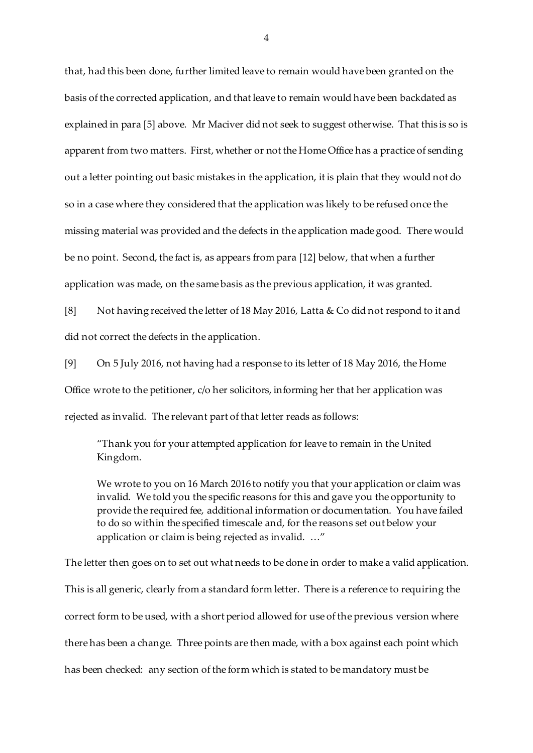that, had this been done, further limited leave to remain would have been granted on the basis of the corrected application, and that leave to remain would have been backdated as explained in para [5] above. Mr Maciver did not seek to suggest otherwise. That this is so is apparent from two matters. First, whether or not the Home Office has a practice of sending out a letter pointing out basic mistakes in the application, it is plain that they would not do so in a case where they considered that the application was likely to be refused once the missing material was provided and the defects in the application made good. There would be no point. Second, the fact is, as appears from para [12] below, that when a further application was made, on the same basis as the previous application, it was granted.

[8] Not having received the letter of 18 May 2016, Latta & Co did not respond to it and did not correct the defects in the application.

[9] On 5 July 2016, not having had a response to its letter of 18 May 2016, the Home Office wrote to the petitioner, c/o her solicitors, informing her that her application was rejected as invalid. The relevant part of that letter reads as follows:

"Thank you for your attempted application for leave to remain in the United Kingdom.

We wrote to you on 16 March 2016 to notify you that your application or claim was invalid. We told you the specific reasons for this and gave you the opportunity to provide the required fee, additional information or documentation. You have failed to do so within the specified timescale and, for the reasons set out below your application or claim is being rejected as invalid. …"

The letter then goes on to set out what needs to be done in order to make a valid application. This is all generic, clearly from a standard form letter. There is a reference to requiring the correct form to be used, with a short period allowed for use of the previous version where there has been a change. Three points are then made, with a box against each point which has been checked: any section of the form which is stated to be mandatory must be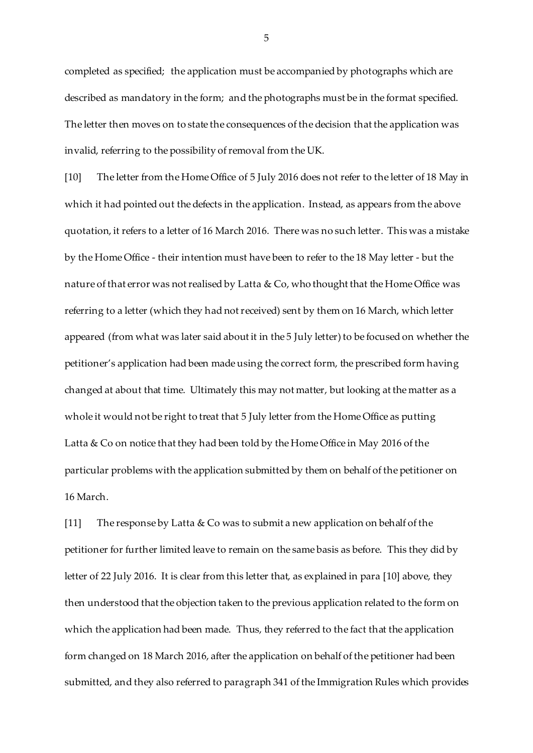completed as specified; the application must be accompanied by photographs which are described as mandatory in the form; and the photographs must be in the format specified. The letter then moves on to state the consequences of the decision that the application was invalid, referring to the possibility of removal from the UK.

[10] The letter from the Home Office of 5 July 2016 does not refer to the letter of 18 May in which it had pointed out the defects in the application. Instead, as appears from the above quotation, it refers to a letter of 16 March 2016. There was no such letter. This was a mistake by the Home Office - their intention must have been to refer to the 18 May letter - but the nature of that error was not realised by Latta & Co, who thought that the Home Office was referring to a letter (which they had not received) sent by them on 16 March, which letter appeared (from what was later said about it in the 5 July letter) to be focused on whether the petitioner's application had been made using the correct form, the prescribed form having changed at about that time. Ultimately this may not matter, but looking at the matter as a whole it would not be right to treat that 5 July letter from the Home Office as putting Latta & Co on notice that they had been told by the Home Office in May 2016 of the particular problems with the application submitted by them on behalf of the petitioner on 16 March.

[11] The response by Latta & Co was to submit a new application on behalf of the petitioner for further limited leave to remain on the same basis as before. This they did by letter of 22 July 2016. It is clear from this letter that, as explained in para [10] above, they then understood that the objection taken to the previous application related to the form on which the application had been made. Thus, they referred to the fact that the application form changed on 18 March 2016, after the application on behalf of the petitioner had been submitted, and they also referred to paragraph 341 of the Immigration Rules which provides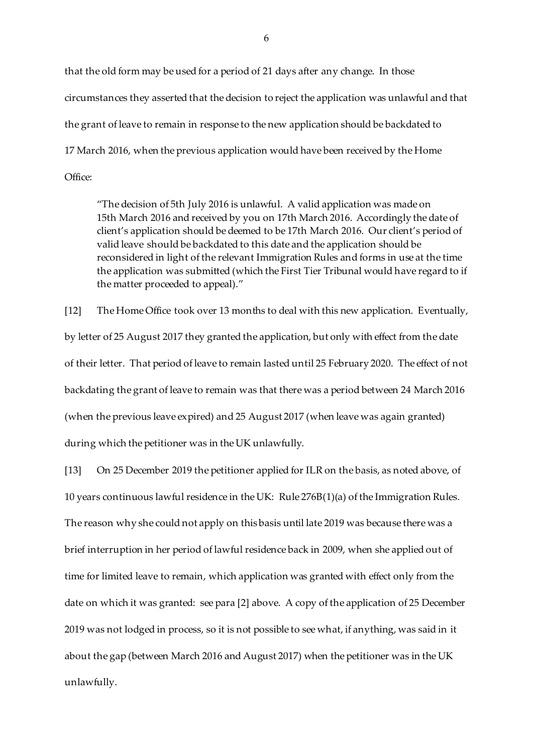that the old form may be used for a period of 21 days after any change. In those circumstances they asserted that the decision to reject the application was unlawful and that the grant of leave to remain in response to the new application should be backdated to 17 March 2016, when the previous application would have been received by the Home Office:

"The decision of 5th July 2016 is unlawful. A valid application was made on 15th March 2016 and received by you on 17th March 2016. Accordingly the date of client's application should be deemed to be 17th March 2016. Our client's period of valid leave should be backdated to this date and the application should be reconsidered in light of the relevant Immigration Rules and forms in use at the time the application was submitted (which the First Tier Tribunal would have regard to if the matter proceeded to appeal)."

[12] The Home Office took over 13 months to deal with this new application. Eventually, by letter of 25 August 2017 they granted the application, but only with effect from the date of their letter. That period of leave to remain lasted until 25 February 2020. The effect of not backdating the grant of leave to remain was that there was a period between 24 March 2016 (when the previous leave expired) and 25 August 2017 (when leave was again granted) during which the petitioner was in the UK unlawfully.

[13] On 25 December 2019 the petitioner applied for ILR on the basis, as noted above, of 10 years continuous lawful residence in the UK: Rule 276B(1)(a) of the Immigration Rules. The reason why she could not apply on this basis until late 2019 was because there was a brief interruption in her period of lawful residence back in 2009, when she applied out of time for limited leave to remain, which application was granted with effect only from the date on which it was granted: see para [2] above. A copy of the application of 25 December 2019 was not lodged in process, so it is not possible to see what, if anything, was said in it about the gap (between March 2016 and August 2017) when the petitioner was in the UK unlawfully.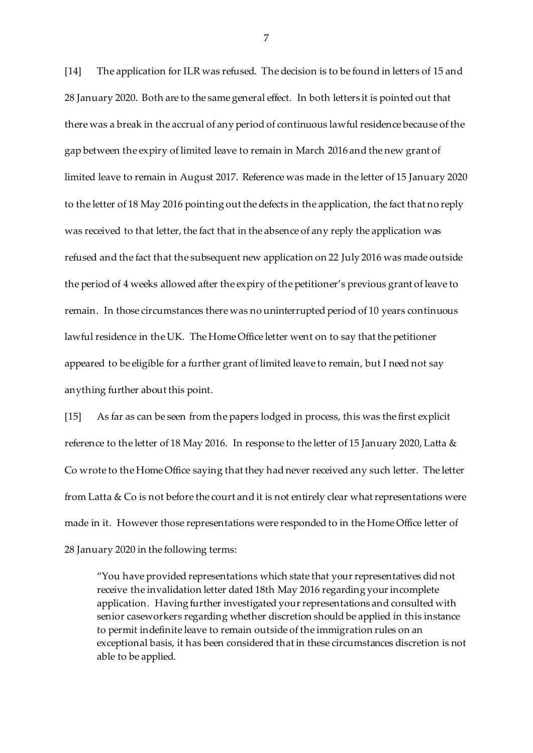[14] The application for ILR was refused. The decision is to be found in letters of 15 and 28 January 2020. Both are to the same general effect. In both letters it is pointed out that there was a break in the accrual of any period of continuous lawful residence because of the gap between the expiry of limited leave to remain in March 2016 and the new grant of limited leave to remain in August 2017. Reference was made in the letter of 15 January 2020 to the letter of 18 May 2016 pointing out the defects in the application, the fact that no reply was received to that letter, the fact that in the absence of any reply the application was refused and the fact that the subsequent new application on 22 July 2016 was made outside the period of 4 weeks allowed after the expiry of the petitioner's previous grant of leave to remain. In those circumstances there was no uninterrupted period of 10 years continuous lawful residence in the UK. The Home Office letter went on to say that the petitioner appeared to be eligible for a further grant of limited leave to remain, but I need not say anything further about this point.

[15] As far as can be seen from the papers lodged in process, this was the first explicit reference to the letter of 18 May 2016. In response to the letter of 15 January 2020, Latta & Co wrote to the Home Office saying that they had never received any such letter. The letter from Latta & Co is not before the court and it is not entirely clear what representations were made in it. However those representations were responded to in the Home Office letter of 28 January 2020 in the following terms:

"You have provided representations which state that your representatives did not receive the invalidation letter dated 18th May 2016 regarding your incomplete application. Having further investigated your representations and consulted with senior caseworkers regarding whether discretion should be applied in this instance to permit indefinite leave to remain outside of the immigration rules on an exceptional basis, it has been considered that in these circumstances discretion is not able to be applied.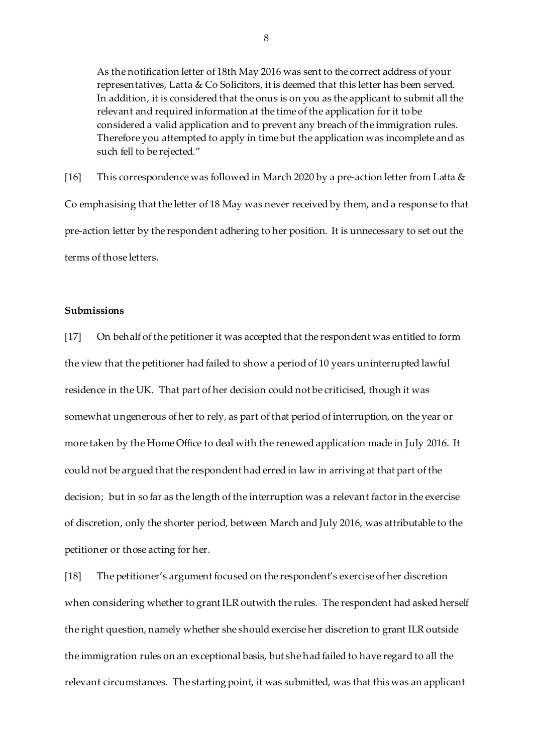As the notification letter of 18th May 2016 was sent to the correct address of your representatives, Latta & Co Solicitors, it is deemed that this letter has been served. In addition, it is considered that the onus is on you as the applicant to submit all the relevant and required information at the time of the application for it to be considered a valid application and to prevent any breach of the immigration rules. Therefore you attempted to apply in time but the application was incomplete and as such fell to be rejected."

[16] This correspondence was followed in March 2020 by a pre-action letter from Latta & Co emphasising that the letter of 18 May was never received by them, and a response to that pre-action letter by the respondent adhering to her position. It is unnecessary to set out the terms of those letters.

# **Submissions**

[17] On behalf of the petitioner it was accepted that the respondent was entitled to form the view that the petitioner had failed to show a period of 10 years uninterrupted lawful residence in the UK. That part of her decision could not be criticised, though it was somewhat ungenerous of her to rely, as part of that period of interruption, on the year or more taken by the Home Office to deal with the renewed application made in July 2016. It could not be argued that the respondent had erred in law in arriving at that part of the decision; but in so far as the length of the interruption was a relevant factor in the exercise of discretion, only the shorter period, between March and July 2016, was attributable to the petitioner or those acting for her.

[18] The petitioner's argument focused on the respondent's exercise of her discretion when considering whether to grant ILR outwith the rules. The respondent had asked herself the right question, namely whether she should exercise her discretion to grant ILR outside the immigration rules on an exceptional basis, but she had failed to have regard to all the relevant circumstances. The starting point, it was submitted, was that this was an applicant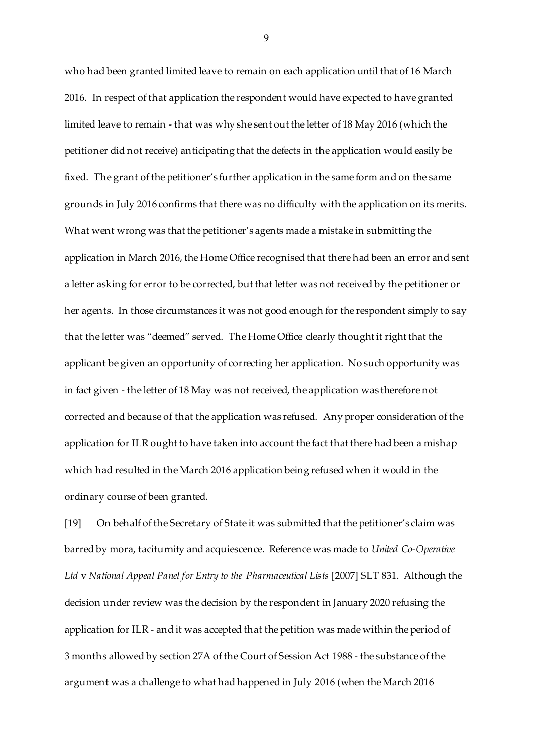who had been granted limited leave to remain on each application until that of 16 March 2016. In respect of that application the respondent would have expected to have granted limited leave to remain - that was why she sent out the letter of 18 May 2016 (which the petitioner did not receive) anticipating that the defects in the application would easily be fixed. The grant of the petitioner's further application in the same form and on the same grounds in July 2016 confirms that there was no difficulty with the application on its merits. What went wrong was that the petitioner's agents made a mistake in submitting the application in March 2016, the Home Office recognised that there had been an error and sent a letter asking for error to be corrected, but that letter was not received by the petitioner or her agents. In those circumstances it was not good enough for the respondent simply to say that the letter was "deemed" served. The Home Office clearly thought it right that the applicant be given an opportunity of correcting her application. No such opportunity was in fact given - the letter of 18 May was not received, the application was therefore not corrected and because of that the application was refused. Any proper consideration of the application for ILR ought to have taken into account the fact that there had been a mishap which had resulted in the March 2016 application being refused when it would in the ordinary course of been granted.

[19] On behalf of the Secretary of State it was submitted that the petitioner's claim was barred by mora, taciturnity and acquiescence. Reference was made to *United Co-Operative Ltd* v *National Appeal Panel for Entry to the Pharmaceutical Lists* [2007] SLT 831. Although the decision under review was the decision by the respondent in January 2020 refusing the application for ILR - and it was accepted that the petition was made within the period of 3 months allowed by section 27A of the Court of Session Act 1988 - the substance of the argument was a challenge to what had happened in July 2016 (when the March 2016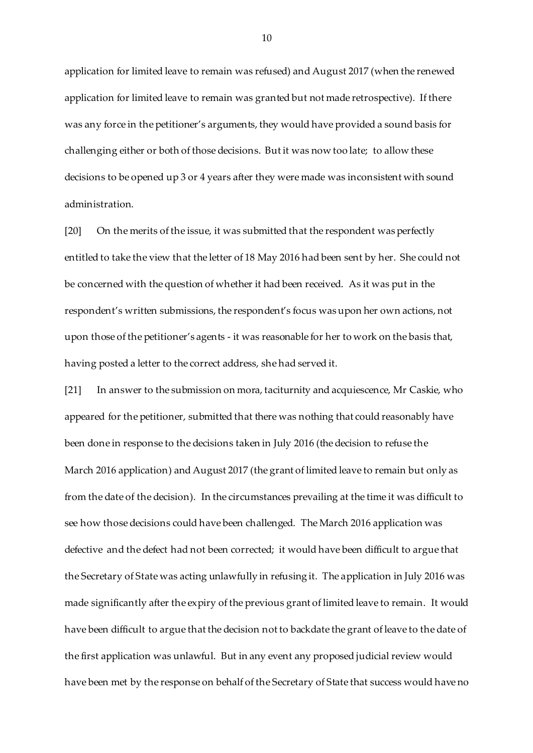application for limited leave to remain was refused) and August 2017 (when the renewed application for limited leave to remain was granted but not made retrospective). If there was any force in the petitioner's arguments, they would have provided a sound basis for challenging either or both of those decisions. But it was now too late; to allow these decisions to be opened up 3 or 4 years after they were made was inconsistent with sound administration.

[20] On the merits of the issue, it was submitted that the respondent was perfectly entitled to take the view that the letter of 18 May 2016 had been sent by her. She could not be concerned with the question of whether it had been received. As it was put in the respondent's written submissions, the respondent's focus was upon her own actions, not upon those of the petitioner's agents - it was reasonable for her to work on the basis that, having posted a letter to the correct address, she had served it.

[21] In answer to the submission on mora, taciturnity and acquiescence, Mr Caskie, who appeared for the petitioner, submitted that there was nothing that could reasonably have been done in response to the decisions taken in July 2016 (the decision to refuse the March 2016 application) and August 2017 (the grant of limited leave to remain but only as from the date of the decision). In the circumstances prevailing at the time it was difficult to see how those decisions could have been challenged. The March 2016 application was defective and the defect had not been corrected; it would have been difficult to argue that the Secretary of State was acting unlawfully in refusing it. The application in July 2016 was made significantly after the expiry of the previous grant of limited leave to remain. It would have been difficult to argue that the decision not to backdate the grant of leave to the date of the first application was unlawful. But in any event any proposed judicial review would have been met by the response on behalf of the Secretary of State that success would have no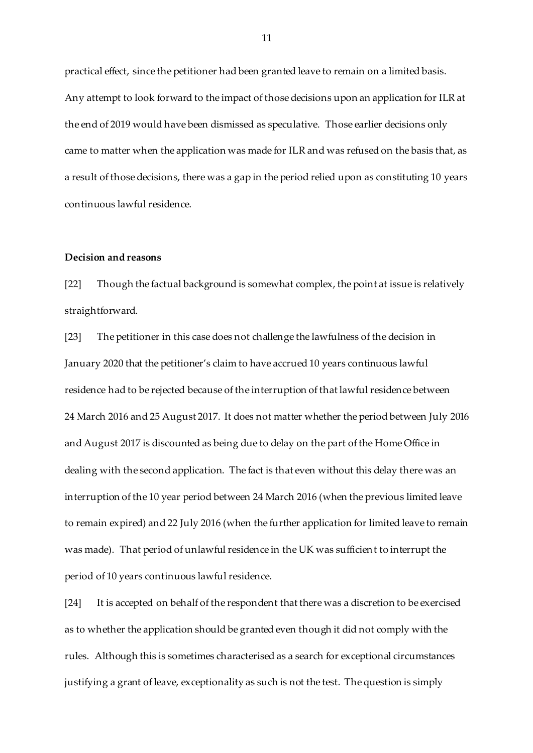practical effect, since the petitioner had been granted leave to remain on a limited basis. Any attempt to look forward to the impact of those decisions upon an application for ILR at the end of 2019 would have been dismissed as speculative. Those earlier decisions only came to matter when the application was made for ILR and was refused on the basis that, as a result of those decisions, there was a gap in the period relied upon as constituting 10 years continuous lawful residence.

#### **Decision and reasons**

[22] Though the factual background is somewhat complex, the point at issue is relatively straightforward.

[23] The petitioner in this case does not challenge the lawfulness of the decision in January 2020 that the petitioner's claim to have accrued 10 years continuous lawful residence had to be rejected because of the interruption of that lawful residence between 24 March 2016 and 25 August 2017. It does not matter whether the period between July 2016 and August 2017 is discounted as being due to delay on the part of the Home Office in dealing with the second application. The fact is that even without this delay there was an interruption of the 10 year period between 24 March 2016 (when the previous limited leave to remain expired) and 22 July 2016 (when the further application for limited leave to remain was made). That period of unlawful residence in the UK was sufficient to interrupt the period of 10 years continuous lawful residence.

[24] It is accepted on behalf of the respondent that there was a discretion to be exercised as to whether the application should be granted even though it did not comply with the rules. Although this is sometimes characterised as a search for exceptional circumstances justifying a grant of leave, exceptionality as such is not the test. The question is simply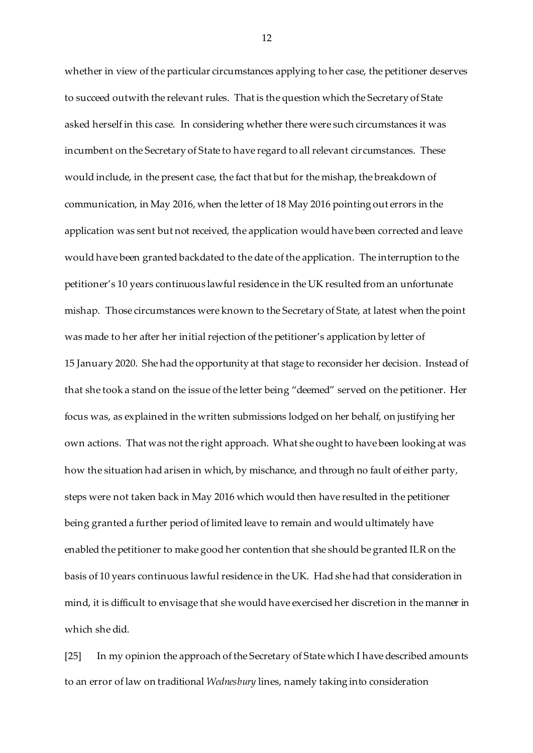whether in view of the particular circumstances applying to her case, the petitioner deserves to succeed outwith the relevant rules. That is the question which the Secretary of State asked herself in this case. In considering whether there were such circumstances it was incumbent on the Secretary of State to have regard to all relevant circumstances. These would include, in the present case, the fact that but for the mishap, the breakdown of communication, in May 2016, when the letter of 18 May 2016 pointing out errors in the application was sent but not received, the application would have been corrected and leave would have been granted backdated to the date of the application. The interruption to the petitioner's 10 years continuous lawful residence in the UK resulted from an unfortunate mishap. Those circumstances were known to the Secretary of State, at latest when the point was made to her after her initial rejection of the petitioner's application by letter of 15 January 2020. She had the opportunity at that stage to reconsider her decision. Instead of that she took a stand on the issue of the letter being "deemed" served on the petitioner. Her focus was, as explained in the written submissions lodged on her behalf, on justifying her own actions. That was not the right approach. What she ought to have been looking at was how the situation had arisen in which, by mischance, and through no fault of either party, steps were not taken back in May 2016 which would then have resulted in the petitioner being granted a further period of limited leave to remain and would ultimately have enabled the petitioner to make good her contention that she should be granted ILR on the basis of 10 years continuous lawful residence in the UK. Had she had that consideration in mind, it is difficult to envisage that she would have exercised her discretion in the manner in which she did.

[25] In my opinion the approach of the Secretary of State which I have described amounts to an error of law on traditional *Wednesbury* lines, namely taking into consideration